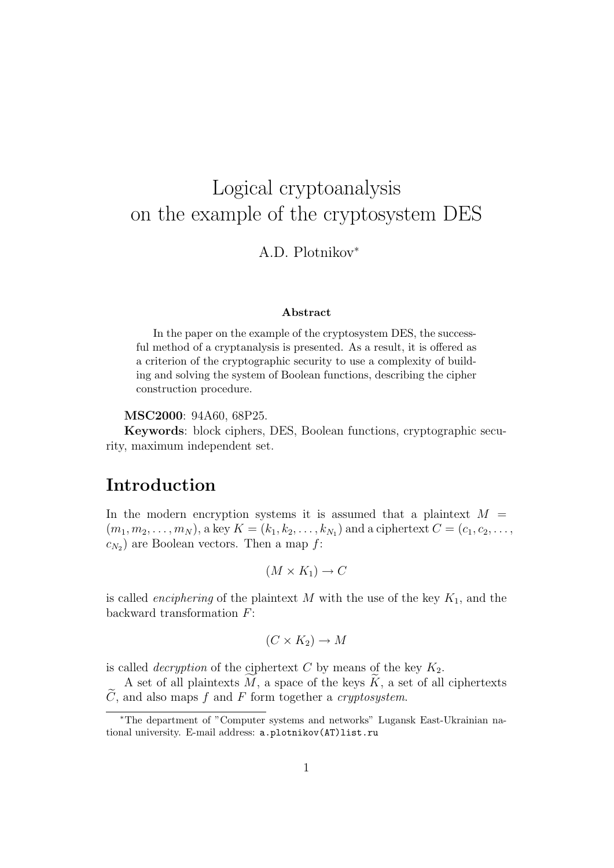# Logical cryptoanalysis on the example of the cryptosystem DES

A.D. Plotnikov<sup>∗</sup>

#### Abstract

In the paper on the example of the cryptosystem DES, the successful method of a cryptanalysis is presented. As a result, it is offered as a criterion of the cryptographic security to use a complexity of building and solving the system of Boolean functions, describing the cipher construction procedure.

MSC2000: 94A60, 68P25.

Keywords: block ciphers, DES, Boolean functions, cryptographic security, maximum independent set.

### Introduction

In the modern encryption systems it is assumed that a plaintext  $M =$  $(m_1, m_2, \ldots, m_N)$ , a key  $K = (k_1, k_2, \ldots, k_{N_1})$  and a ciphertext  $C = (c_1, c_2, \ldots, c_N)$  $c_{N_2}$ ) are Boolean vectors. Then a map  $f$ :

$$
(M \times K_1) \to C
$$

is called *enciphering* of the plaintext M with the use of the key  $K_1$ , and the backward transformation F:

$$
(C \times K_2) \to M
$$

is called *decryption* of the ciphertext  $C$  by means of the key  $K_2$ .

A set of all plaintexts  $\widetilde{M}$ , a space of the keys  $\widetilde{K}$ , a set of all ciphertexts  $\widetilde{C}$ , and also maps f and F form together a *cryptosystem*.

<sup>∗</sup>The department of "Computer systems and networks" Lugansk East-Ukrainian national university. E-mail address: a.plotnikov(AT)list.ru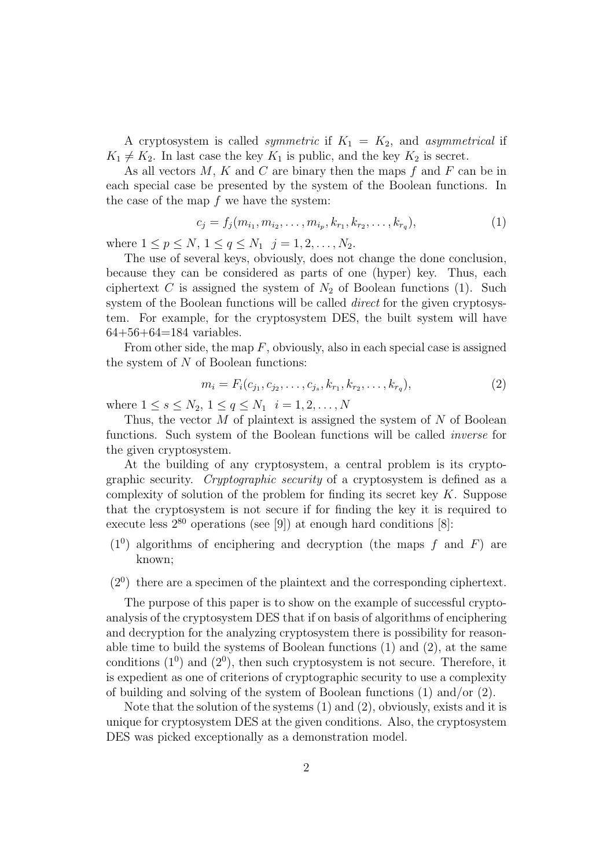A cryptosystem is called *symmetric* if  $K_1 = K_2$ , and *asymmetrical* if  $K_1 \neq K_2$ . In last case the key  $K_1$  is public, and the key  $K_2$  is secret.

As all vectors  $M$ ,  $K$  and  $C$  are binary then the maps  $f$  and  $F$  can be in each special case be presented by the system of the Boolean functions. In the case of the map  $f$  we have the system:

$$
c_j = f_j(m_{i_1}, m_{i_2}, \dots, m_{i_p}, k_{r_1}, k_{r_2}, \dots, k_{r_q}),
$$
\n(1)

where  $1 \le p \le N$ ,  $1 \le q \le N_1$   $j = 1, 2, ..., N_2$ .

The use of several keys, obviously, does not change the done conclusion, because they can be considered as parts of one (hyper) key. Thus, each ciphertext C is assigned the system of  $N_2$  of Boolean functions (1). Such system of the Boolean functions will be called *direct* for the given cryptosystem. For example, for the cryptosystem DES, the built system will have  $64+56+64=184$  variables.

From other side, the map  $F$ , obviously, also in each special case is assigned the system of  $N$  of Boolean functions:

$$
m_i = F_i(c_{j_1}, c_{j_2}, \dots, c_{j_s}, k_{r_1}, k_{r_2}, \dots, k_{r_q}),
$$
\n(2)

where  $1 \le s \le N_2$ ,  $1 \le q \le N_1$   $i = 1, 2, ..., N$ 

Thus, the vector  $M$  of plaintext is assigned the system of  $N$  of Boolean functions. Such system of the Boolean functions will be called inverse for the given cryptosystem.

At the building of any cryptosystem, a central problem is its cryptographic security. Cryptographic security of a cryptosystem is defined as a complexity of solution of the problem for finding its secret key  $K$ . Suppose that the cryptosystem is not secure if for finding the key it is required to execute less  $2^{80}$  operations (see [9]) at enough hard conditions [8]:

- $(1<sup>0</sup>)$  algorithms of enciphering and decryption (the maps f and F) are known;
- (2<sup>0</sup> ) there are a specimen of the plaintext and the corresponding ciphertext.

The purpose of this paper is to show on the example of successful cryptoanalysis of the cryptosystem DES that if on basis of algorithms of enciphering and decryption for the analyzing cryptosystem there is possibility for reasonable time to build the systems of Boolean functions (1) and (2), at the same conditions  $(1^0)$  and  $(2^0)$ , then such cryptosystem is not secure. Therefore, it is expedient as one of criterions of cryptographic security to use a complexity of building and solving of the system of Boolean functions (1) and/or (2).

Note that the solution of the systems (1) and (2), obviously, exists and it is unique for cryptosystem DES at the given conditions. Also, the cryptosystem DES was picked exceptionally as a demonstration model.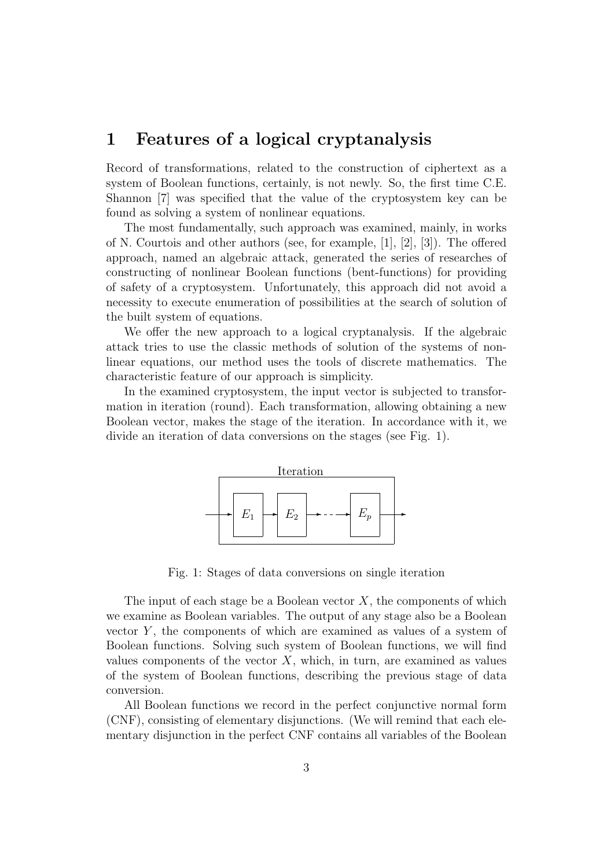### 1 Features of a logical cryptanalysis

Record of transformations, related to the construction of ciphertext as a system of Boolean functions, certainly, is not newly. So, the first time C.E. Shannon [7] was specified that the value of the cryptosystem key can be found as solving a system of nonlinear equations.

The most fundamentally, such approach was examined, mainly, in works of N. Courtois and other authors (see, for example, [1], [2], [3]). The offered approach, named an algebraic attack, generated the series of researches of constructing of nonlinear Boolean functions (bent-functions) for providing of safety of a cryptosystem. Unfortunately, this approach did not avoid a necessity to execute enumeration of possibilities at the search of solution of the built system of equations.

We offer the new approach to a logical cryptanalysis. If the algebraic attack tries to use the classic methods of solution of the systems of nonlinear equations, our method uses the tools of discrete mathematics. The characteristic feature of our approach is simplicity.

In the examined cryptosystem, the input vector is subjected to transformation in iteration (round). Each transformation, allowing obtaining a new Boolean vector, makes the stage of the iteration. In accordance with it, we divide an iteration of data conversions on the stages (see Fig. 1).



Fig. 1: Stages of data conversions on single iteration

The input of each stage be a Boolean vector  $X$ , the components of which we examine as Boolean variables. The output of any stage also be a Boolean vector  $Y$ , the components of which are examined as values of a system of Boolean functions. Solving such system of Boolean functions, we will find values components of the vector  $X$ , which, in turn, are examined as values of the system of Boolean functions, describing the previous stage of data conversion.

All Boolean functions we record in the perfect conjunctive normal form (CNF), consisting of elementary disjunctions. (We will remind that each elementary disjunction in the perfect CNF contains all variables of the Boolean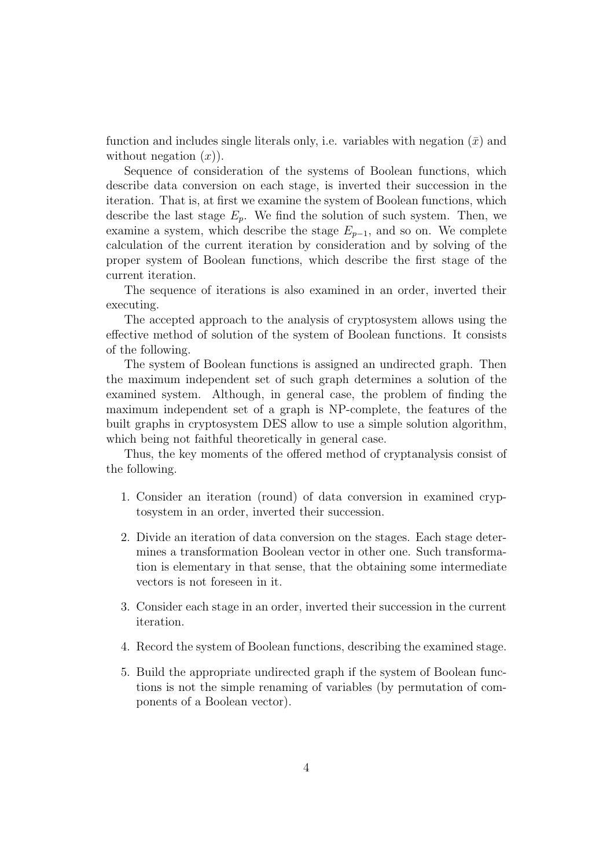function and includes single literals only, i.e. variables with negation  $(\bar{x})$  and without negation  $(x)$ ).

Sequence of consideration of the systems of Boolean functions, which describe data conversion on each stage, is inverted their succession in the iteration. That is, at first we examine the system of Boolean functions, which describe the last stage  $E_p$ . We find the solution of such system. Then, we examine a system, which describe the stage  $E_{p-1}$ , and so on. We complete calculation of the current iteration by consideration and by solving of the proper system of Boolean functions, which describe the first stage of the current iteration.

The sequence of iterations is also examined in an order, inverted their executing.

The accepted approach to the analysis of cryptosystem allows using the effective method of solution of the system of Boolean functions. It consists of the following.

The system of Boolean functions is assigned an undirected graph. Then the maximum independent set of such graph determines a solution of the examined system. Although, in general case, the problem of finding the maximum independent set of a graph is NP-complete, the features of the built graphs in cryptosystem DES allow to use a simple solution algorithm, which being not faithful theoretically in general case.

Thus, the key moments of the offered method of cryptanalysis consist of the following.

- 1. Consider an iteration (round) of data conversion in examined cryptosystem in an order, inverted their succession.
- 2. Divide an iteration of data conversion on the stages. Each stage determines a transformation Boolean vector in other one. Such transformation is elementary in that sense, that the obtaining some intermediate vectors is not foreseen in it.
- 3. Consider each stage in an order, inverted their succession in the current iteration.
- 4. Record the system of Boolean functions, describing the examined stage.
- 5. Build the appropriate undirected graph if the system of Boolean functions is not the simple renaming of variables (by permutation of components of a Boolean vector).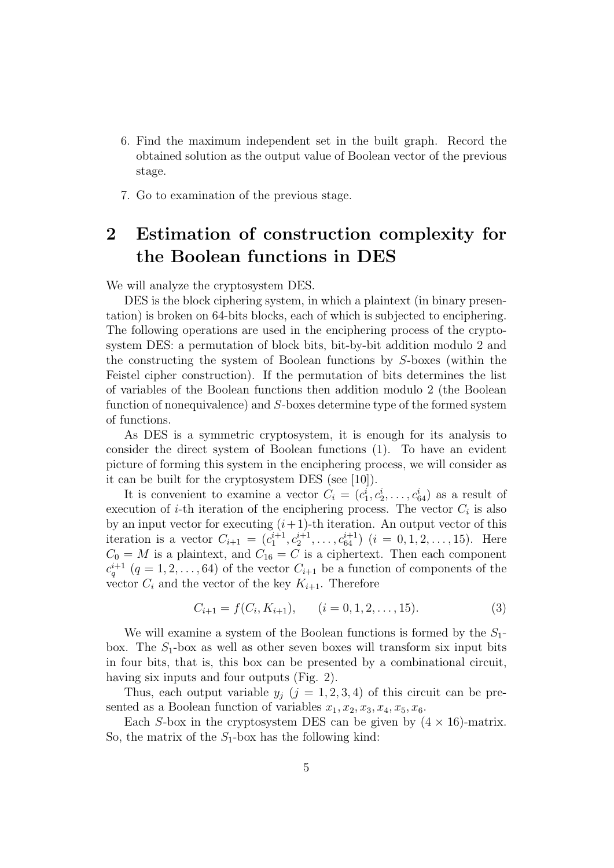- 6. Find the maximum independent set in the built graph. Record the obtained solution as the output value of Boolean vector of the previous stage.
- 7. Go to examination of the previous stage.

## 2 Estimation of construction complexity for the Boolean functions in DES

We will analyze the cryptosystem DES.

DES is the block ciphering system, in which a plaintext (in binary presentation) is broken on 64-bits blocks, each of which is subjected to enciphering. The following operations are used in the enciphering process of the cryptosystem DES: a permutation of block bits, bit-by-bit addition modulo 2 and the constructing the system of Boolean functions by S-boxes (within the Feistel cipher construction). If the permutation of bits determines the list of variables of the Boolean functions then addition modulo 2 (the Boolean function of nonequivalence) and S-boxes determine type of the formed system of functions.

As DES is a symmetric cryptosystem, it is enough for its analysis to consider the direct system of Boolean functions (1). To have an evident picture of forming this system in the enciphering process, we will consider as it can be built for the cryptosystem DES (see [10]).

It is convenient to examine a vector  $C_i = (c_1^i, c_2^i, \ldots, c_{64}^i)$  as a result of execution of *i*-th iteration of the enciphering process. The vector  $C_i$  is also by an input vector for executing  $(i+1)$ -th iteration. An output vector of this iteration is a vector  $C_{i+1} = (c_1^{i+1}, c_2^{i+1}, \ldots, c_{64}^{i+1})$   $(i = 0, 1, 2, \ldots, 15)$ . Here  $C_0 = M$  is a plaintext, and  $C_{16} = C$  is a ciphertext. Then each component  $c_q^{i+1}$  (q = 1, 2, ..., 64) of the vector  $C_{i+1}$  be a function of components of the vector  $C_i$  and the vector of the key  $K_{i+1}$ . Therefore

$$
C_{i+1} = f(C_i, K_{i+1}), \qquad (i = 0, 1, 2, \dots, 15). \tag{3}
$$

We will examine a system of the Boolean functions is formed by the  $S_1$ box. The  $S_1$ -box as well as other seven boxes will transform six input bits in four bits, that is, this box can be presented by a combinational circuit, having six inputs and four outputs (Fig. 2).

Thus, each output variable  $y_j$   $(j = 1, 2, 3, 4)$  of this circuit can be presented as a Boolean function of variables  $x_1, x_2, x_3, x_4, x_5, x_6$ .

Each S-box in the cryptosystem DES can be given by  $(4 \times 16)$ -matrix. So, the matrix of the  $S_1$ -box has the following kind: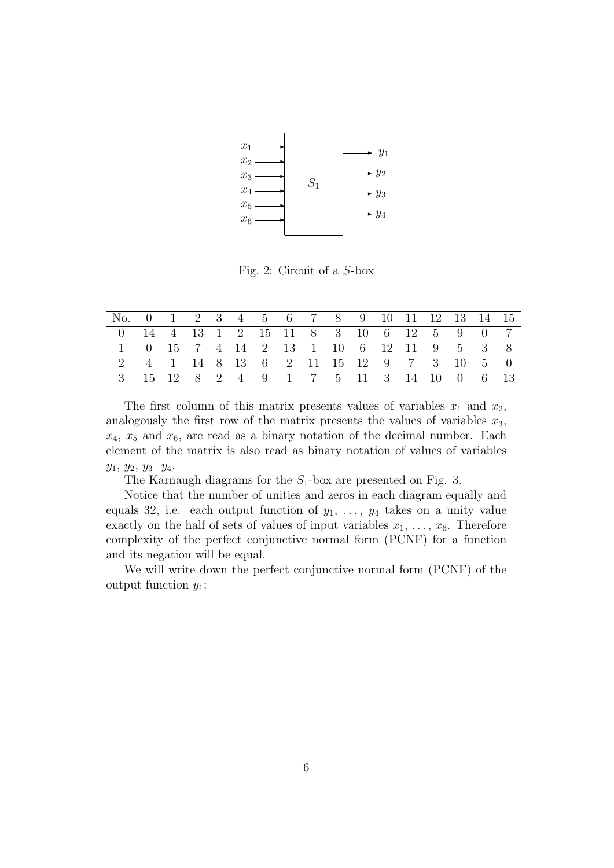

Fig. 2: Circuit of a S-box

| $\begin{array}{ c ccccccccccc }\n\hline\n2 & 4 & 1 & 14 & 8 & 13 & 6 & 2 & 11 & 15 & 12 & 9 & 7 & 3 & 10 & 5 & 0\n\end{array}$ |  |  |  |  |  |  |  |  |
|--------------------------------------------------------------------------------------------------------------------------------|--|--|--|--|--|--|--|--|
| $  3   15   12   8   2 4   9 1 7 5 11 3 14 10 0 6 13  $                                                                        |  |  |  |  |  |  |  |  |

The first column of this matrix presents values of variables  $x_1$  and  $x_2$ , analogously the first row of the matrix presents the values of variables  $x_3$ ,  $x_4$ ,  $x_5$  and  $x_6$ , are read as a binary notation of the decimal number. Each element of the matrix is also read as binary notation of values of variables  $y_1, y_2, y_3 y_4.$ 

The Karnaugh diagrams for the  $S_1$ -box are presented on Fig. 3.

Notice that the number of unities and zeros in each diagram equally and equals 32, i.e. each output function of  $y_1, \ldots, y_4$  takes on a unity value exactly on the half of sets of values of input variables  $x_1, \ldots, x_6$ . Therefore complexity of the perfect conjunctive normal form (PCNF) for a function and its negation will be equal.

We will write down the perfect conjunctive normal form (PCNF) of the output function  $y_1$ :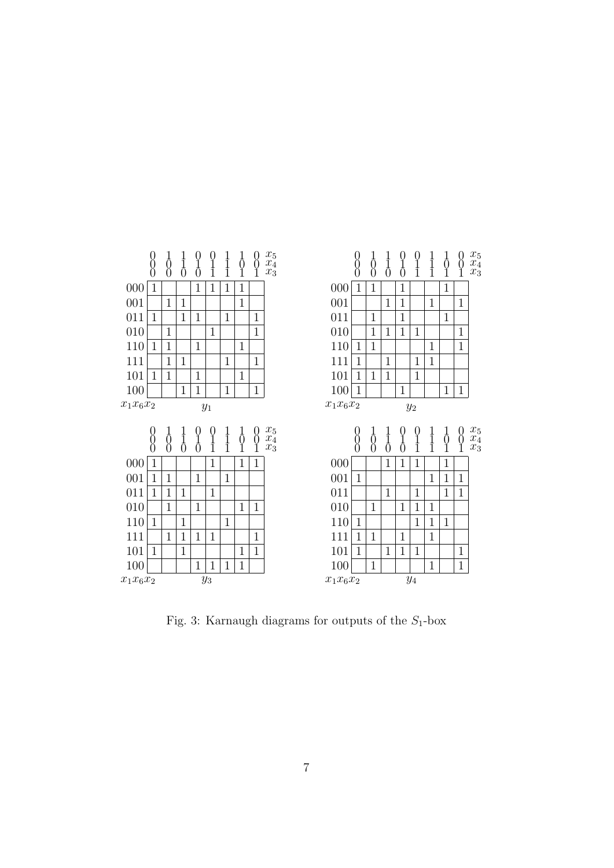

Fig. 3: Karnaugh diagrams for outputs of the  $S_1$ -box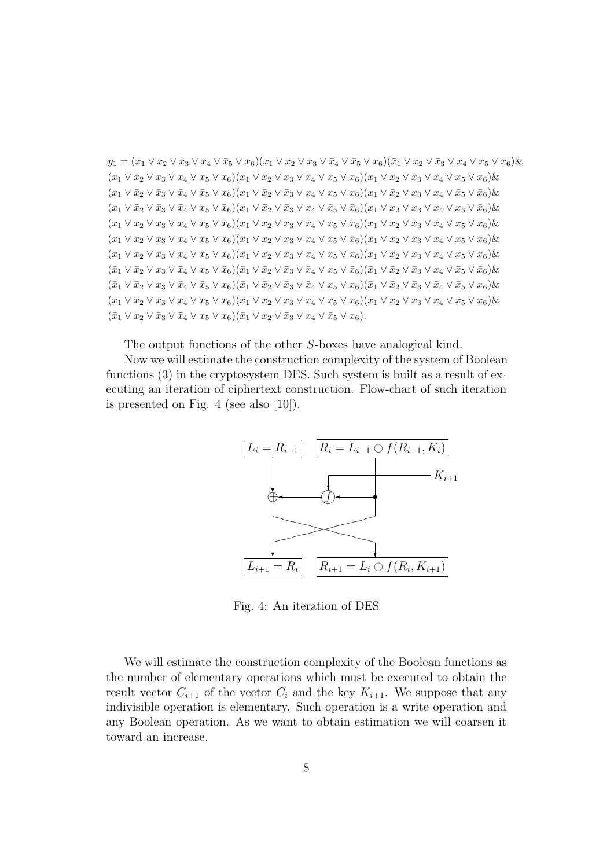$y_1 = (x_1 \vee x_2 \vee x_3 \vee x_4 \vee \overline{x}_5 \vee x_6)(x_1 \vee x_2 \vee x_3 \vee \overline{x}_4 \vee \overline{x}_5 \vee x_6)(\overline{x}_1 \vee x_2 \vee \overline{x}_3 \vee x_4 \vee x_5 \vee x_6)\&$  $(x_1 \vee \bar{x}_2 \vee x_3 \vee x_4 \vee x_5 \vee x_6)(x_1 \vee \bar{x}_2 \vee x_3 \vee \bar{x}_4 \vee x_5 \vee x_6)(x_1 \vee \bar{x}_2 \vee \bar{x}_3 \vee \bar{x}_4 \vee x_5 \vee x_6)$ &  $(x_1 \vee \bar{x}_2 \vee \bar{x}_3 \vee \bar{x}_4 \vee \bar{x}_5 \vee x_6)(x_1 \vee \bar{x}_2 \vee \bar{x}_3 \vee x_4 \vee x_5 \vee x_6)(x_1 \vee \bar{x}_2 \vee x_3 \vee x_4 \vee \bar{x}_5 \vee \bar{x}_6)\&$  $(x_1 \vee \bar{x}_2 \vee \bar{x}_3 \vee \bar{x}_4 \vee x_5 \vee \bar{x}_6)(x_1 \vee \bar{x}_2 \vee \bar{x}_3 \vee x_4 \vee \bar{x}_5 \vee \bar{x}_6)(x_1 \vee x_2 \vee x_3 \vee x_4 \vee x_5 \vee \bar{x}_6)\&$  $(x_1 \vee x_2 \vee x_3 \vee \bar{x}_4 \vee \bar{x}_5 \vee \bar{x}_6)(x_1 \vee x_2 \vee x_3 \vee \bar{x}_4 \vee x_5 \vee \bar{x}_6)(x_1 \vee x_2 \vee \bar{x}_3 \vee \bar{x}_4 \vee \bar{x}_5 \vee \bar{x}_6)\&$  $(x_1 \vee x_2 \vee \bar{x}_3 \vee x_4 \vee \bar{x}_5 \vee \bar{x}_6)(\bar{x}_1 \vee x_2 \vee x_3 \vee \bar{x}_4 \vee \bar{x}_5 \vee \bar{x}_6)(\bar{x}_1 \vee x_2 \vee \bar{x}_3 \vee \bar{x}_4 \vee x_5 \vee \bar{x}_6)\&$  $(\bar{x}_1 \vee x_2 \vee \bar{x}_3 \vee \bar{x}_4 \vee \bar{x}_5 \vee \bar{x}_6)(\bar{x}_1 \vee x_2 \vee \bar{x}_3 \vee x_4 \vee x_5 \vee \bar{x}_6)(\bar{x}_1 \vee \bar{x}_2 \vee x_3 \vee x_4 \vee x_5 \vee \bar{x}_6)\&$  $(\bar{x}_1 \vee \bar{x}_2 \vee x_3 \vee \bar{x}_4 \vee x_5 \vee \bar{x}_6)(\bar{x}_1 \vee \bar{x}_2 \vee \bar{x}_3 \vee \bar{x}_4 \vee x_5 \vee \bar{x}_6)(\bar{x}_1 \vee \bar{x}_2 \vee \bar{x}_3 \vee x_4 \vee \bar{x}_5 \vee \bar{x}_6)\&$  $(\bar{x}_1 \vee \bar{x}_2 \vee x_3 \vee \bar{x}_4 \vee \bar{x}_5 \vee x_6)(\bar{x}_1 \vee \bar{x}_2 \vee \bar{x}_3 \vee \bar{x}_4 \vee x_5 \vee x_6)(\bar{x}_1 \vee \bar{x}_2 \vee \bar{x}_3 \vee \bar{x}_4 \vee \bar{x}_5 \vee x_6)\&$  $(\bar{x}_1 \vee \bar{x}_2 \vee \bar{x}_3 \vee x_4 \vee x_5 \vee x_6)(\bar{x}_1 \vee x_2 \vee x_3 \vee x_4 \vee x_5 \vee x_6)(\bar{x}_1 \vee x_2 \vee x_3 \vee x_4 \vee \bar{x}_5 \vee x_6)\&$  $(\bar{x}_1 \vee x_2 \vee \bar{x}_3 \vee \bar{x}_4 \vee x_5 \vee x_6)(\bar{x}_1 \vee x_2 \vee \bar{x}_3 \vee x_4 \vee \bar{x}_5 \vee x_6).$ 

The output functions of the other S-boxes have analogical kind.

Now we will estimate the construction complexity of the system of Boolean functions (3) in the cryptosystem DES. Such system is built as a result of executing an iteration of ciphertext construction. Flow-chart of such iteration is presented on Fig. 4 (see also [10]).



Fig. 4: An iteration of DES

We will estimate the construction complexity of the Boolean functions as the number of elementary operations which must be executed to obtain the result vector  $C_{i+1}$  of the vector  $C_i$  and the key  $K_{i+1}$ . We suppose that any indivisible operation is elementary. Such operation is a write operation and any Boolean operation. As we want to obtain estimation we will coarsen it toward an increase.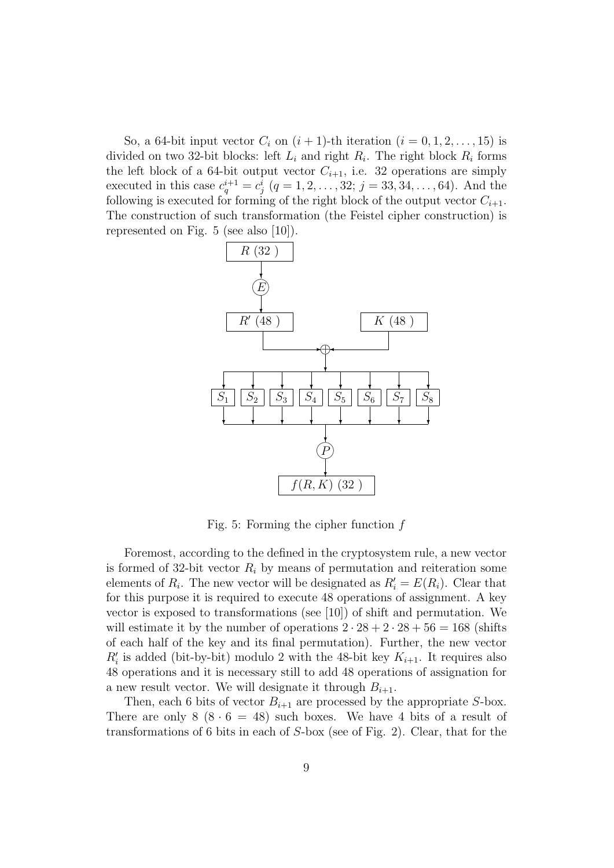So, a 64-bit input vector  $C_i$  on  $(i + 1)$ -th iteration  $(i = 0, 1, 2, \ldots, 15)$  is divided on two 32-bit blocks: left  $L_i$  and right  $R_i$ . The right block  $R_i$  forms the left block of a 64-bit output vector  $C_{i+1}$ , i.e. 32 operations are simply executed in this case  $c_q^{i+1} = c_j^i$   $(q = 1, 2, ..., 32; j = 33, 34, ..., 64)$ . And the following is executed for forming of the right block of the output vector  $C_{i+1}$ . The construction of such transformation (the Feistel cipher construction) is represented on Fig. 5 (see also [10]).



Fig. 5: Forming the cipher function  $f$ 

Foremost, according to the defined in the cryptosystem rule, a new vector is formed of 32-bit vector  $R_i$  by means of permutation and reiteration some elements of  $R_i$ . The new vector will be designated as  $R'_i = E(R_i)$ . Clear that for this purpose it is required to execute 48 operations of assignment. A key vector is exposed to transformations (see [10]) of shift and permutation. We will estimate it by the number of operations  $2 \cdot 28 + 2 \cdot 28 + 56 = 168$  (shifts of each half of the key and its final permutation). Further, the new vector  $R_i'$  is added (bit-by-bit) modulo 2 with the 48-bit key  $K_{i+1}$ . It requires also 48 operations and it is necessary still to add 48 operations of assignation for a new result vector. We will designate it through  $B_{i+1}$ .

Then, each 6 bits of vector  $B_{i+1}$  are processed by the appropriate S-box. There are only  $8 (8 \cdot 6 = 48)$  such boxes. We have 4 bits of a result of transformations of 6 bits in each of S-box (see of Fig. 2). Clear, that for the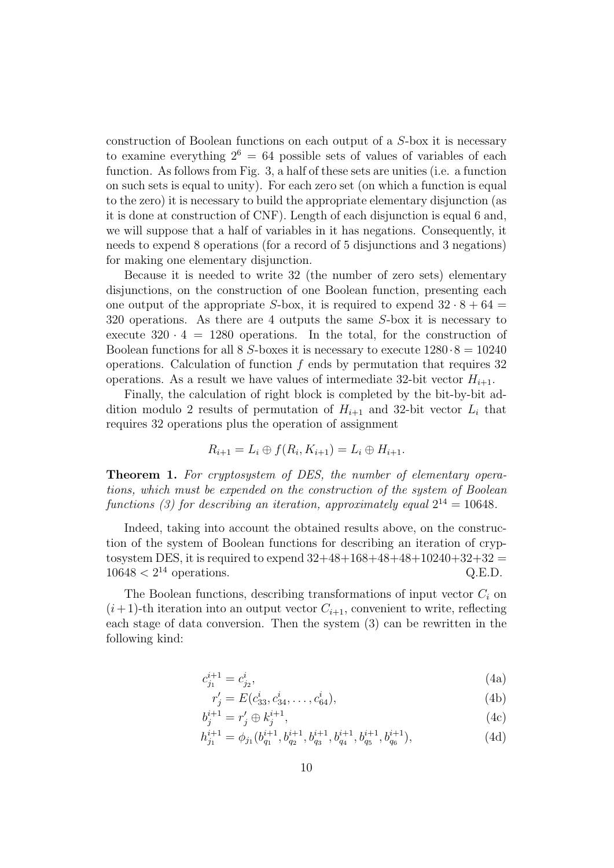construction of Boolean functions on each output of a S-box it is necessary to examine everything  $2^6 = 64$  possible sets of values of variables of each function. As follows from Fig. 3, a half of these sets are unities (i.e. a function on such sets is equal to unity). For each zero set (on which a function is equal to the zero) it is necessary to build the appropriate elementary disjunction (as it is done at construction of CNF). Length of each disjunction is equal 6 and, we will suppose that a half of variables in it has negations. Consequently, it needs to expend 8 operations (for a record of 5 disjunctions and 3 negations) for making one elementary disjunction.

Because it is needed to write 32 (the number of zero sets) elementary disjunctions, on the construction of one Boolean function, presenting each one output of the appropriate S-box, it is required to expend  $32 \cdot 8 + 64 =$ 320 operations. As there are 4 outputs the same S-box it is necessary to execute  $320 \cdot 4 = 1280$  operations. In the total, for the construction of Boolean functions for all 8 S-boxes it is necessary to execute  $1280 \cdot 8 = 10240$ operations. Calculation of function  $f$  ends by permutation that requires 32 operations. As a result we have values of intermediate 32-bit vector  $H_{i+1}$ .

Finally, the calculation of right block is completed by the bit-by-bit addition modulo 2 results of permutation of  $H_{i+1}$  and 32-bit vector  $L_i$  that requires 32 operations plus the operation of assignment

$$
R_{i+1} = L_i \oplus f(R_i, K_{i+1}) = L_i \oplus H_{i+1}.
$$

Theorem 1. For cryptosystem of DES, the number of elementary operations, which must be expended on the construction of the system of Boolean functions (3) for describing an iteration, approximately equal  $2^{14} = 10648$ .

Indeed, taking into account the obtained results above, on the construction of the system of Boolean functions for describing an iteration of cryptosystem DES, it is required to expend  $32+48+168+48+48+10240+32+32$  $10648 < 2^{14}$  operations. Q.E.D.

The Boolean functions, describing transformations of input vector  $C_i$  on  $(i+1)$ -th iteration into an output vector  $C_{i+1}$ , convenient to write, reflecting each stage of data conversion. Then the system (3) can be rewritten in the following kind:

$$
c_{j_1}^{i+1} = c_{j_2}^i,\tag{4a}
$$

$$
r'_j = E(c_{33}^i, c_{34}^i, \dots, c_{64}^i),\tag{4b}
$$

$$
b_j^{i+1} = r_j' \oplus k_j^{i+1},\tag{4c}
$$

$$
h_{j_1}^{i+1} = \phi_{j_1}(b_{q_1}^{i+1}, b_{q_2}^{i+1}, b_{q_3}^{i+1}, b_{q_4}^{i+1}, b_{q_5}^{i+1}, b_{q_6}^{i+1}),
$$
\n(4d)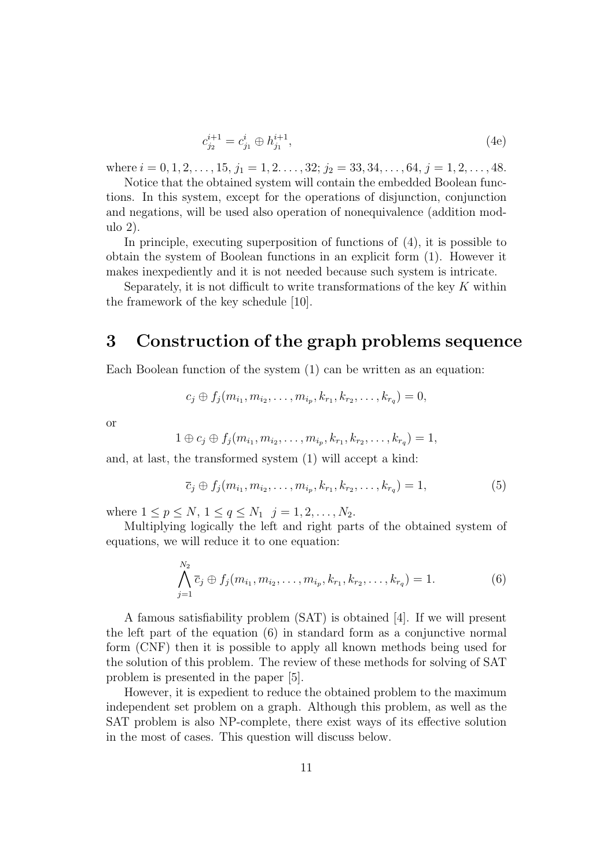$$
c_{j_2}^{i+1} = c_{j_1}^i \oplus h_{j_1}^{i+1},\tag{4e}
$$

where  $i = 0, 1, 2, \ldots, 15, j_1 = 1, 2, \ldots, 32; j_2 = 33, 34, \ldots, 64, j = 1, 2, \ldots, 48.$ 

Notice that the obtained system will contain the embedded Boolean functions. In this system, except for the operations of disjunction, conjunction and negations, will be used also operation of nonequivalence (addition modulo 2).

In principle, executing superposition of functions of (4), it is possible to obtain the system of Boolean functions in an explicit form (1). However it makes inexpediently and it is not needed because such system is intricate.

Separately, it is not difficult to write transformations of the key  $K$  within the framework of the key schedule [10].

### 3 Construction of the graph problems sequence

Each Boolean function of the system (1) can be written as an equation:

$$
c_j \oplus f_j(m_{i_1}, m_{i_2}, \ldots, m_{i_p}, k_{r_1}, k_{r_2}, \ldots, k_{r_q}) = 0,
$$

or

$$
1 \oplus c_j \oplus f_j(m_{i_1}, m_{i_2}, \ldots, m_{i_p}, k_{r_1}, k_{r_2}, \ldots, k_{r_q}) = 1,
$$

and, at last, the transformed system (1) will accept a kind:

$$
\overline{c}_j \oplus f_j(m_{i_1}, m_{i_2}, \dots, m_{i_p}, k_{r_1}, k_{r_2}, \dots, k_{r_q}) = 1,
$$
\n(5)

where  $1 \le p \le N$ ,  $1 \le q \le N_1$   $j = 1, 2, ..., N_2$ .

Multiplying logically the left and right parts of the obtained system of equations, we will reduce it to one equation:

$$
\bigwedge_{j=1}^{N_2} \overline{c}_j \oplus f_j(m_{i_1}, m_{i_2}, \dots, m_{i_p}, k_{r_1}, k_{r_2}, \dots, k_{r_q}) = 1.
$$
 (6)

A famous satisfiability problem (SAT) is obtained [4]. If we will present the left part of the equation (6) in standard form as a conjunctive normal form (CNF) then it is possible to apply all known methods being used for the solution of this problem. The review of these methods for solving of SAT problem is presented in the paper [5].

However, it is expedient to reduce the obtained problem to the maximum independent set problem on a graph. Although this problem, as well as the SAT problem is also NP-complete, there exist ways of its effective solution in the most of cases. This question will discuss below.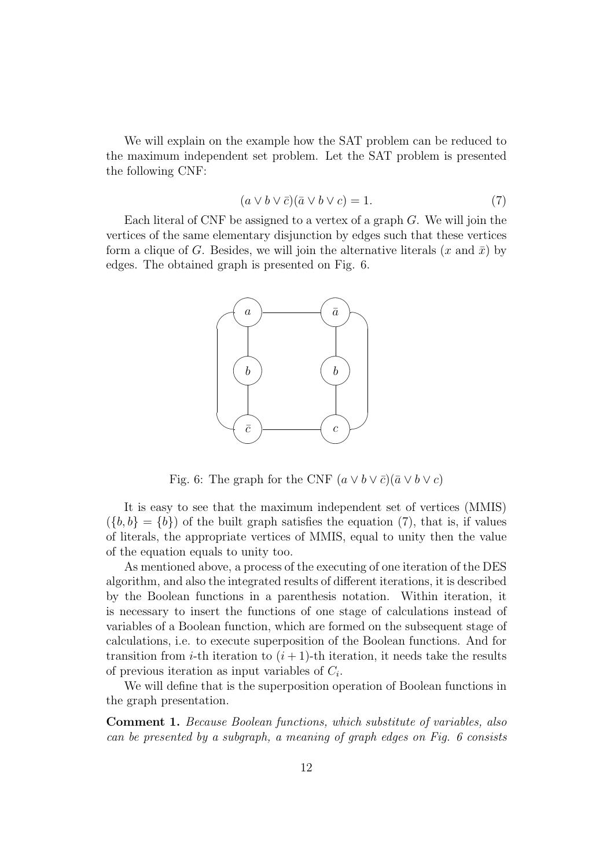We will explain on the example how the SAT problem can be reduced to the maximum independent set problem. Let the SAT problem is presented the following CNF:

$$
(a \lor b \lor \bar{c})(\bar{a} \lor b \lor c) = 1.
$$
 (7)

Each literal of CNF be assigned to a vertex of a graph  $G$ . We will join the vertices of the same elementary disjunction by edges such that these vertices form a clique of G. Besides, we will join the alternative literals  $(x \text{ and } \bar{x})$  by edges. The obtained graph is presented on Fig. 6.



Fig. 6: The graph for the CNF  $(a \vee b \vee \overline{c})(\overline{a} \vee b \vee c)$ 

It is easy to see that the maximum independent set of vertices (MMIS)  $({b, b} = {b})$  of the built graph satisfies the equation (7), that is, if values of literals, the appropriate vertices of MMIS, equal to unity then the value of the equation equals to unity too.

As mentioned above, a process of the executing of one iteration of the DES algorithm, and also the integrated results of different iterations, it is described by the Boolean functions in a parenthesis notation. Within iteration, it is necessary to insert the functions of one stage of calculations instead of variables of a Boolean function, which are formed on the subsequent stage of calculations, i.e. to execute superposition of the Boolean functions. And for transition from *i*-th iteration to  $(i + 1)$ -th iteration, it needs take the results of previous iteration as input variables of  $C_i$ .

We will define that is the superposition operation of Boolean functions in the graph presentation.

Comment 1. Because Boolean functions, which substitute of variables, also can be presented by a subgraph, a meaning of graph edges on Fig. 6 consists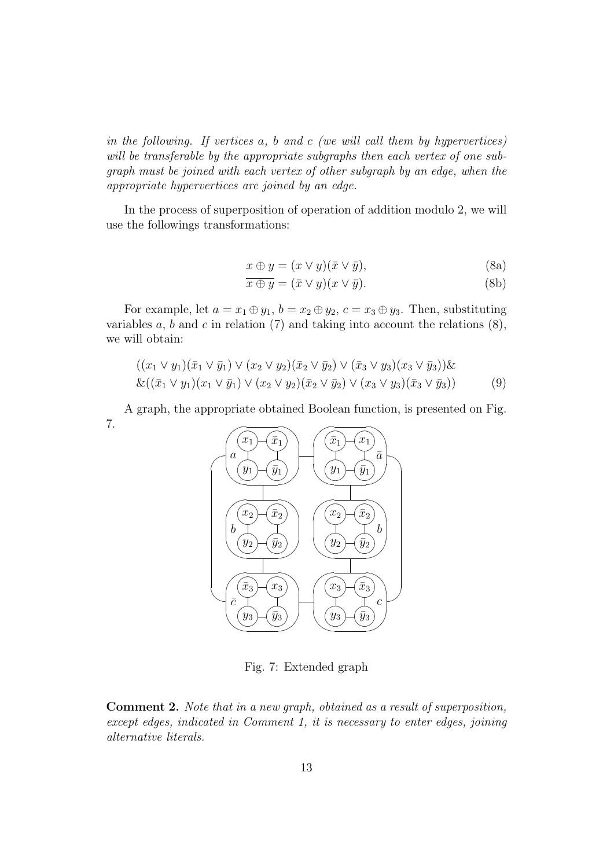in the following. If vertices  $a, b$  and  $c$  (we will call them by hypervertices) will be transferable by the appropriate subgraphs then each vertex of one subgraph must be joined with each vertex of other subgraph by an edge, when the appropriate hypervertices are joined by an edge.

In the process of superposition of operation of addition modulo 2, we will use the followings transformations:

$$
x \oplus y = (x \vee y)(\overline{x} \vee \overline{y}), \tag{8a}
$$

$$
\overline{x \oplus y} = (\overline{x} \vee y)(x \vee \overline{y}). \tag{8b}
$$

For example, let  $a = x_1 \oplus y_1$ ,  $b = x_2 \oplus y_2$ ,  $c = x_3 \oplus y_3$ . Then, substituting variables  $a, b$  and  $c$  in relation (7) and taking into account the relations (8), we will obtain:

$$
((x_1 \vee y_1)(\overline{x}_1 \vee \overline{y}_1) \vee (x_2 \vee y_2)(\overline{x}_2 \vee \overline{y}_2) \vee (\overline{x}_3 \vee y_3)(x_3 \vee \overline{y}_3)) \& \& ((\overline{x}_1 \vee y_1)(x_1 \vee \overline{y}_1) \vee (x_2 \vee y_2)(\overline{x}_2 \vee \overline{y}_2) \vee (x_3 \vee y_3)(\overline{x}_3 \vee \overline{y}_3))
$$
(9)

A graph, the appropriate obtained Boolean function, is presented on Fig. 7.  $\sqrt{2}$ 



Fig. 7: Extended graph

Comment 2. Note that in a new graph, obtained as a result of superposition, except edges, indicated in Comment 1, it is necessary to enter edges, joining alternative literals.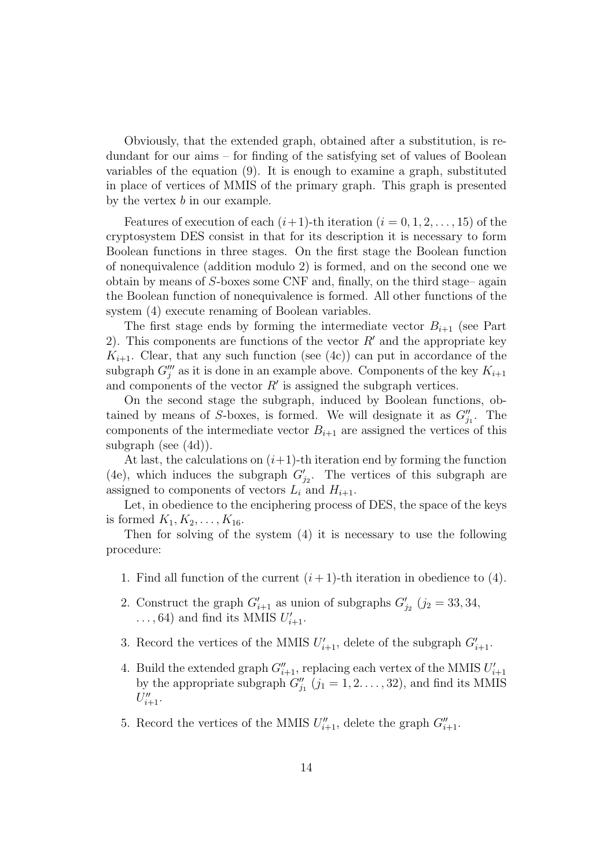Obviously, that the extended graph, obtained after a substitution, is redundant for our aims – for finding of the satisfying set of values of Boolean variables of the equation (9). It is enough to examine a graph, substituted in place of vertices of MMIS of the primary graph. This graph is presented by the vertex  $b$  in our example.

Features of execution of each  $(i+1)$ -th iteration  $(i = 0, 1, 2, \ldots, 15)$  of the cryptosystem DES consist in that for its description it is necessary to form Boolean functions in three stages. On the first stage the Boolean function of nonequivalence (addition modulo 2) is formed, and on the second one we obtain by means of S-boxes some CNF and, finally, on the third stage– again the Boolean function of nonequivalence is formed. All other functions of the system (4) execute renaming of Boolean variables.

The first stage ends by forming the intermediate vector  $B_{i+1}$  (see Part 2). This components are functions of the vector  $R'$  and the appropriate key  $K_{i+1}$ . Clear, that any such function (see (4c)) can put in accordance of the subgraph  $G_j'''$  as it is done in an example above. Components of the key  $K_{i+1}$ and components of the vector  $R'$  is assigned the subgraph vertices.

On the second stage the subgraph, induced by Boolean functions, obtained by means of S-boxes, is formed. We will designate it as  $G''_{j_1}$ . The components of the intermediate vector  $B_{i+1}$  are assigned the vertices of this subgraph (see (4d)).

At last, the calculations on  $(i+1)$ -th iteration end by forming the function (4e), which induces the subgraph  $G'_{j_2}$ . The vertices of this subgraph are assigned to components of vectors  $L_i$  and  $H_{i+1}$ .

Let, in obedience to the enciphering process of DES, the space of the keys is formed  $K_1, K_2, \ldots, K_{16}$ .

Then for solving of the system (4) it is necessary to use the following procedure:

- 1. Find all function of the current  $(i + 1)$ -th iteration in obedience to (4).
- 2. Construct the graph  $G'_{i+1}$  as union of subgraphs  $G'_{j_2}$   $(j_2 = 33, 34, j_1, j_2, k)$  $\dots$ , 64) and find its MMIS  $U'_{i+1}$ .
- 3. Record the vertices of the MMIS  $U'_{i+1}$ , delete of the subgraph  $G'_{i+1}$ .
- 4. Build the extended graph  $G''_{i+1}$ , replacing each vertex of the MMIS  $U'_{i+1}$ by the appropriate subgraph  $G''_{j_1}$   $(j_1 = 1, 2, \ldots, 32)$ , and find its MMIS  $U''_{i+1}$ .
- 5. Record the vertices of the MMIS  $U''_{i+1}$ , delete the graph  $G''_{i+1}$ .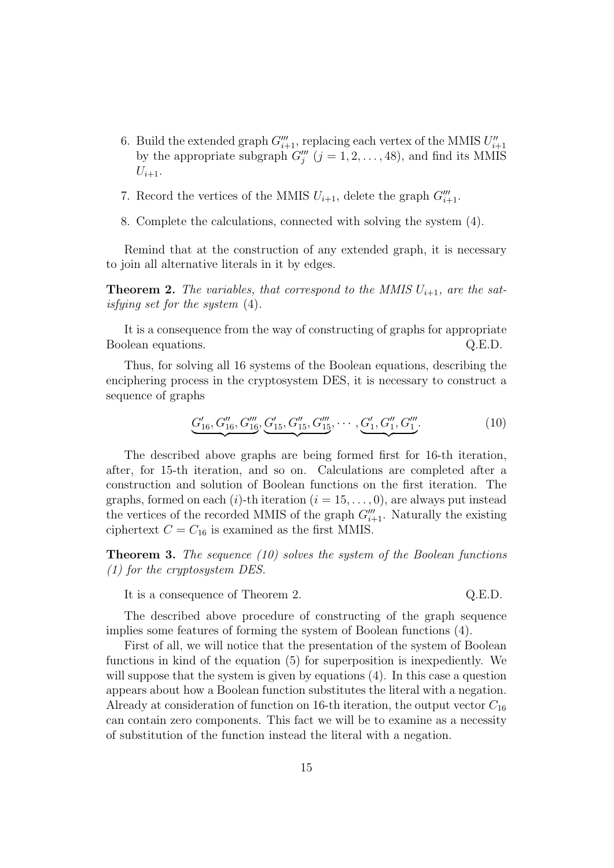- 6. Build the extended graph  $G'''_{i+1}$ , replacing each vertex of the MMIS  $U''_{i+1}$ by the appropriate subgraph  $G''_j$   $(j = 1, 2, \ldots, 48)$ , and find its MMIS  $U_{i+1}$ .
- 7. Record the vertices of the MMIS  $U_{i+1}$ , delete the graph  $G'''_{i+1}$ .
- 8. Complete the calculations, connected with solving the system (4).

Remind that at the construction of any extended graph, it is necessary to join all alternative literals in it by edges.

**Theorem 2.** The variables, that correspond to the MMIS  $U_{i+1}$ , are the satisfying set for the system (4).

It is a consequence from the way of constructing of graphs for appropriate Boolean equations.  $Q.E.D.$ 

Thus, for solving all 16 systems of the Boolean equations, describing the enciphering process in the cryptosystem DES, it is necessary to construct a sequence of graphs

$$
\underbrace{G'_{16}, G''_{16}, G''_{16}}_{16}, \underbrace{G'_{15}, G''_{15}, G'''_{15}}_{15}, \cdots, \underbrace{G'_{1}, G''_{1}, G'''_{1}}_{11}.
$$
 (10)

The described above graphs are being formed first for 16-th iteration, after, for 15-th iteration, and so on. Calculations are completed after a construction and solution of Boolean functions on the first iteration. The graphs, formed on each (i)-th iteration ( $i = 15, \ldots, 0$ ), are always put instead the vertices of the recorded MMIS of the graph  $G'''_{i+1}$ . Naturally the existing ciphertext  $C = C_{16}$  is examined as the first MMIS.

**Theorem 3.** The sequence  $(10)$  solves the system of the Boolean functions (1) for the cryptosystem DES.

It is a consequence of Theorem 2. Q.E.D.

The described above procedure of constructing of the graph sequence implies some features of forming the system of Boolean functions (4).

First of all, we will notice that the presentation of the system of Boolean functions in kind of the equation (5) for superposition is inexpediently. We will suppose that the system is given by equations (4). In this case a question appears about how a Boolean function substitutes the literal with a negation. Already at consideration of function on 16-th iteration, the output vector  $C_{16}$ can contain zero components. This fact we will be to examine as a necessity of substitution of the function instead the literal with a negation.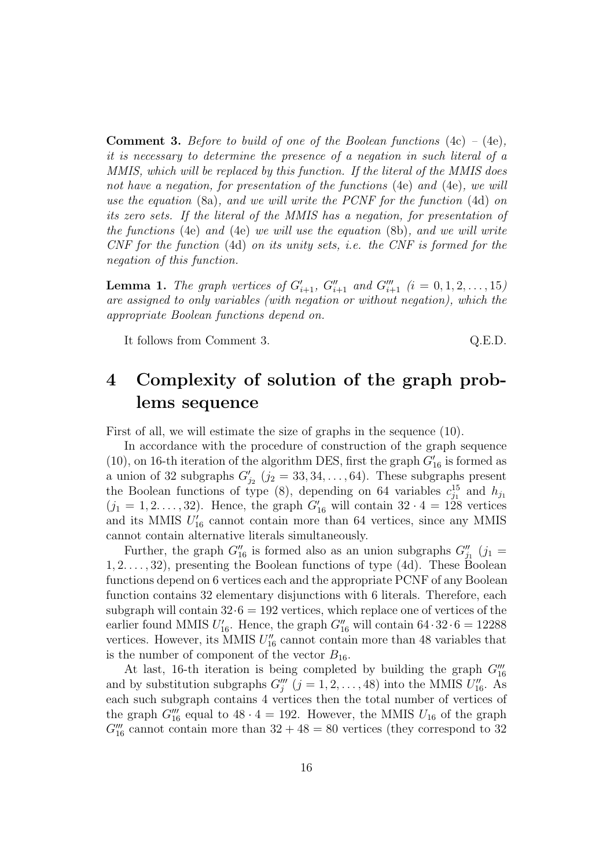**Comment 3.** Before to build of one of the Boolean functions  $(4c) - (4e)$ , it is necessary to determine the presence of a negation in such literal of a MMIS, which will be replaced by this function. If the literal of the MMIS does not have a negation, for presentation of the functions (4e) and (4e), we will use the equation (8a), and we will write the PCNF for the function (4d) on its zero sets. If the literal of the MMIS has a negation, for presentation of the functions (4e) and (4e) we will use the equation (8b), and we will write CNF for the function (4d) on its unity sets, i.e. the CNF is formed for the negation of this function.

**Lemma 1.** The graph vertices of  $G'_{i+1}$ ,  $G''_{i+1}$  and  $G'''_{i+1}$   $(i = 0, 1, 2, \ldots, 15)$ are assigned to only variables (with negation or without negation), which the appropriate Boolean functions depend on.

It follows from Comment 3. Q.E.D.

## 4 Complexity of solution of the graph problems sequence

First of all, we will estimate the size of graphs in the sequence (10).

In accordance with the procedure of construction of the graph sequence (10), on 16-th iteration of the algorithm DES, first the graph  $G'_{16}$  is formed as a union of 32 subgraphs  $G'_{j_2}$   $(j_2 = 33, 34, \ldots, 64)$ . These subgraphs present the Boolean functions of type (8), depending on 64 variables  $c_{j_1}^{15}$  and  $h_{j_1}$  $(j_1 = 1, 2, \ldots, 32)$ . Hence, the graph  $G'_{16}$  will contain  $32 \cdot 4 = 128$  vertices and its MMIS  $U'_{16}$  cannot contain more than 64 vertices, since any MMIS cannot contain alternative literals simultaneously.

Further, the graph  $G''_{16}$  is formed also as an union subgraphs  $G''_{j_1}$  (j<sub>1</sub> = 1, 2. . . . , 32), presenting the Boolean functions of type (4d). These Boolean functions depend on 6 vertices each and the appropriate PCNF of any Boolean function contains 32 elementary disjunctions with 6 literals. Therefore, each subgraph will contain  $32.6 = 192$  vertices, which replace one of vertices of the earlier found MMIS  $U'_{16}$ . Hence, the graph  $G''_{16}$  will contain  $64 \cdot 32 \cdot 6 = 12288$ vertices. However, its MMIS  $U_{16}''$  cannot contain more than 48 variables that is the number of component of the vector  $B_{16}$ .

At last, 16-th iteration is being completed by building the graph  $G_{16}'''$ and by substitution subgraphs  $G'''_j$   $(j = 1, 2, ..., 48)$  into the MMIS  $U''_{16}$ . As each such subgraph contains 4 vertices then the total number of vertices of the graph  $G_{16}'''$  equal to  $48 \cdot 4 = 192$ . However, the MMIS  $U_{16}$  of the graph  $G_{16}^{\prime\prime\prime}$  cannot contain more than  $32 + 48 = 80$  vertices (they correspond to 32)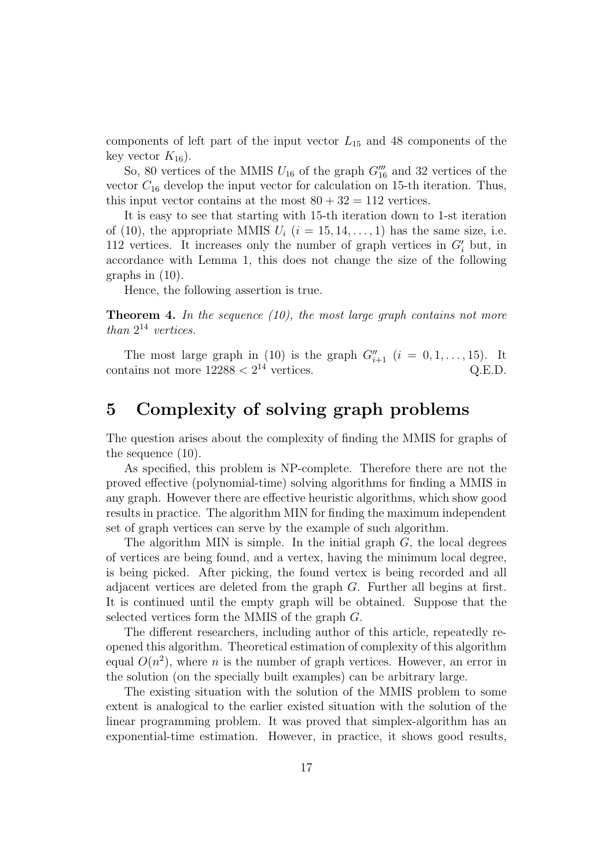components of left part of the input vector  $L_{15}$  and 48 components of the key vector  $K_{16}$ ).

So, 80 vertices of the MMIS  $U_{16}$  of the graph  $G_{16}'''$  and 32 vertices of the vector  $C_{16}$  develop the input vector for calculation on 15-th iteration. Thus, this input vector contains at the most  $80 + 32 = 112$  vertices.

It is easy to see that starting with 15-th iteration down to 1-st iteration of (10), the appropriate MMIS  $U_i$  (i = 15, 14, ..., 1) has the same size, i.e. 112 vertices. It increases only the number of graph vertices in  $G_i'$  but, in accordance with Lemma 1, this does not change the size of the following graphs in (10).

Hence, the following assertion is true.

**Theorem 4.** In the sequence  $(10)$ , the most large graph contains not more than  $2^{14}$  vertices.

The most large graph in (10) is the graph  $G''_{i+1}$   $(i = 0, 1, \ldots, 15)$ . It contains not more  $12288 < 2^{14}$  vertices. Q.E.D.

### 5 Complexity of solving graph problems

The question arises about the complexity of finding the MMIS for graphs of the sequence (10).

As specified, this problem is NP-complete. Therefore there are not the proved effective (polynomial-time) solving algorithms for finding a MMIS in any graph. However there are effective heuristic algorithms, which show good results in practice. The algorithm MIN for finding the maximum independent set of graph vertices can serve by the example of such algorithm.

The algorithm MIN is simple. In the initial graph  $G$ , the local degrees of vertices are being found, and a vertex, having the minimum local degree, is being picked. After picking, the found vertex is being recorded and all adjacent vertices are deleted from the graph G. Further all begins at first. It is continued until the empty graph will be obtained. Suppose that the selected vertices form the MMIS of the graph G.

The different researchers, including author of this article, repeatedly reopened this algorithm. Theoretical estimation of complexity of this algorithm equal  $O(n^2)$ , where *n* is the number of graph vertices. However, an error in the solution (on the specially built examples) can be arbitrary large.

The existing situation with the solution of the MMIS problem to some extent is analogical to the earlier existed situation with the solution of the linear programming problem. It was proved that simplex-algorithm has an exponential-time estimation. However, in practice, it shows good results,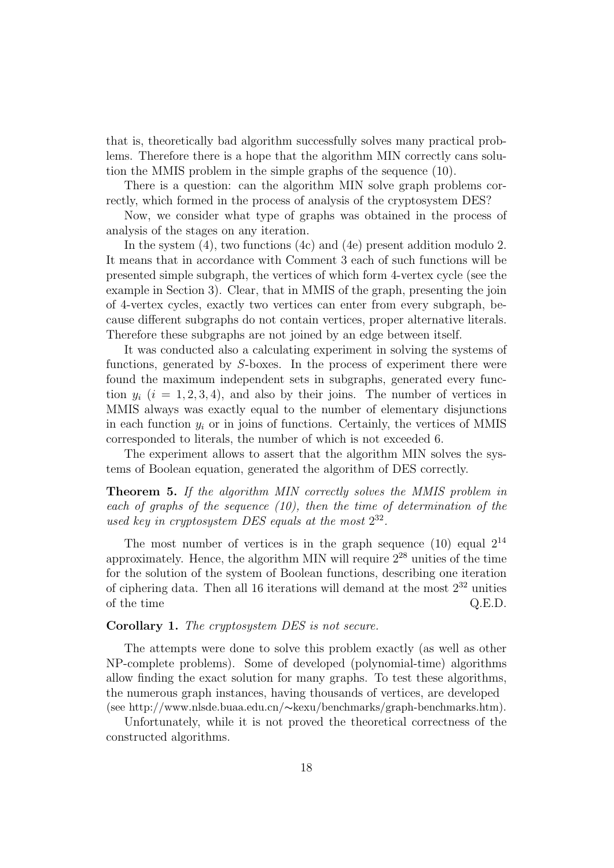that is, theoretically bad algorithm successfully solves many practical problems. Therefore there is a hope that the algorithm MIN correctly cans solution the MMIS problem in the simple graphs of the sequence (10).

There is a question: can the algorithm MIN solve graph problems correctly, which formed in the process of analysis of the cryptosystem DES?

Now, we consider what type of graphs was obtained in the process of analysis of the stages on any iteration.

In the system (4), two functions (4c) and (4e) present addition modulo 2. It means that in accordance with Comment 3 each of such functions will be presented simple subgraph, the vertices of which form 4-vertex cycle (see the example in Section 3). Clear, that in MMIS of the graph, presenting the join of 4-vertex cycles, exactly two vertices can enter from every subgraph, because different subgraphs do not contain vertices, proper alternative literals. Therefore these subgraphs are not joined by an edge between itself.

It was conducted also a calculating experiment in solving the systems of functions, generated by S-boxes. In the process of experiment there were found the maximum independent sets in subgraphs, generated every function  $y_i$   $(i = 1, 2, 3, 4)$ , and also by their joins. The number of vertices in MMIS always was exactly equal to the number of elementary disjunctions in each function  $y_i$  or in joins of functions. Certainly, the vertices of MMIS corresponded to literals, the number of which is not exceeded 6.

The experiment allows to assert that the algorithm MIN solves the systems of Boolean equation, generated the algorithm of DES correctly.

Theorem 5. If the algorithm MIN correctly solves the MMIS problem in each of graphs of the sequence  $(10)$ , then the time of determination of the used key in cryptosystem DES equals at the most  $2^{32}$ .

The most number of vertices is in the graph sequence  $(10)$  equal  $2^{14}$ approximately. Hence, the algorithm MIN will require  $2^{28}$  unities of the time for the solution of the system of Boolean functions, describing one iteration of ciphering data. Then all 16 iterations will demand at the most  $2^{32}$  unities of the time  $Q.E.D.$ 

#### Corollary 1. The cryptosystem DES is not secure.

The attempts were done to solve this problem exactly (as well as other NP-complete problems). Some of developed (polynomial-time) algorithms allow finding the exact solution for many graphs. To test these algorithms, the numerous graph instances, having thousands of vertices, are developed (see http://www.nlsde.buaa.edu.cn/∼kexu/benchmarks/graph-benchmarks.htm).

Unfortunately, while it is not proved the theoretical correctness of the constructed algorithms.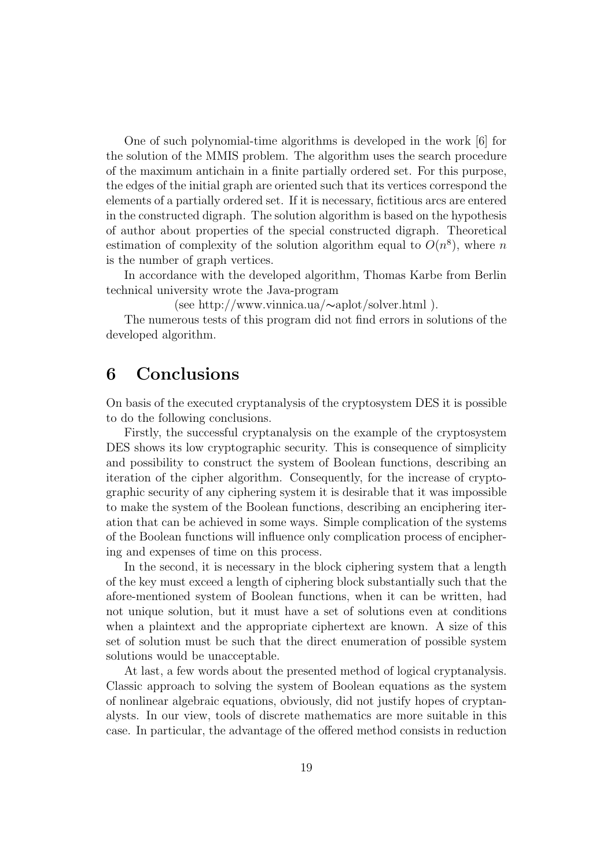One of such polynomial-time algorithms is developed in the work [6] for the solution of the MMIS problem. The algorithm uses the search procedure of the maximum antichain in a finite partially ordered set. For this purpose, the edges of the initial graph are oriented such that its vertices correspond the elements of a partially ordered set. If it is necessary, fictitious arcs are entered in the constructed digraph. The solution algorithm is based on the hypothesis of author about properties of the special constructed digraph. Theoretical estimation of complexity of the solution algorithm equal to  $O(n^8)$ , where n is the number of graph vertices.

In accordance with the developed algorithm, Thomas Karbe from Berlin technical university wrote the Java-program

(see http://www.vinnica.ua/∼aplot/solver.html ).

The numerous tests of this program did not find errors in solutions of the developed algorithm.

### 6 Conclusions

On basis of the executed cryptanalysis of the cryptosystem DES it is possible to do the following conclusions.

Firstly, the successful cryptanalysis on the example of the cryptosystem DES shows its low cryptographic security. This is consequence of simplicity and possibility to construct the system of Boolean functions, describing an iteration of the cipher algorithm. Consequently, for the increase of cryptographic security of any ciphering system it is desirable that it was impossible to make the system of the Boolean functions, describing an enciphering iteration that can be achieved in some ways. Simple complication of the systems of the Boolean functions will influence only complication process of enciphering and expenses of time on this process.

In the second, it is necessary in the block ciphering system that a length of the key must exceed a length of ciphering block substantially such that the afore-mentioned system of Boolean functions, when it can be written, had not unique solution, but it must have a set of solutions even at conditions when a plaintext and the appropriate ciphertext are known. A size of this set of solution must be such that the direct enumeration of possible system solutions would be unacceptable.

At last, a few words about the presented method of logical cryptanalysis. Classic approach to solving the system of Boolean equations as the system of nonlinear algebraic equations, obviously, did not justify hopes of cryptanalysts. In our view, tools of discrete mathematics are more suitable in this case. In particular, the advantage of the offered method consists in reduction